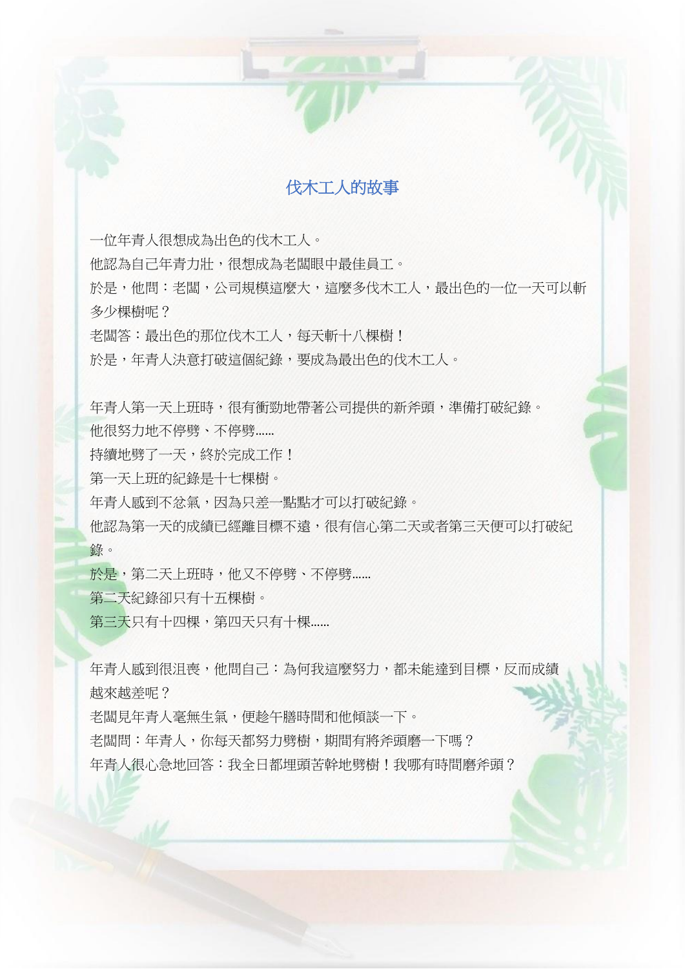

一位年青人很想成為出色的伐木工人。 他認為自己年青力壯,很想成為老闆眼中最佳員工。 於是,他問:老闆,公司規模這麼大,這麼多伐木工人,最出色的一位一天可以斬 多少棵樹呢? 老闆答:最出色的那位伐木工人,每天斬十八棵樹! 於是,年青人決意打破這個紀錄,要成為最出色的伐木工人。

年青人第一天上班時,很有衝勁地帶著公司提供的新斧頭,準備打破紀錄。

他很努力地不停劈、不停劈……

持續地劈了一天,終於完成工作!

第一天上班的紀錄是十七棵樹。

年青人感到不忿氣,因為只差一點點才可以打破紀錄。

他認為第一天的成績已經離目標不遠,很有信心第二天或者第三天便可以打破紀 錄。

於是,第二天上班時,他又不停劈、不停劈......

第二天紀錄卻只有十五棵樹。

第三天只有十四棵,第四天只有十棵……

年青人感到很沮喪,他問自己:為何我這麼努力,都未能達到目標,反而成績 越來越差呢?

老闆見年青人毫無生氣,便趁午膳時間和他傾談一下。

老闆問:年青人,你每天都努力劈樹,期間有將斧頭磨一下嗎?

年青人很心急地回答:我全日都埋頭苦幹地劈樹!我哪有時間磨斧頭?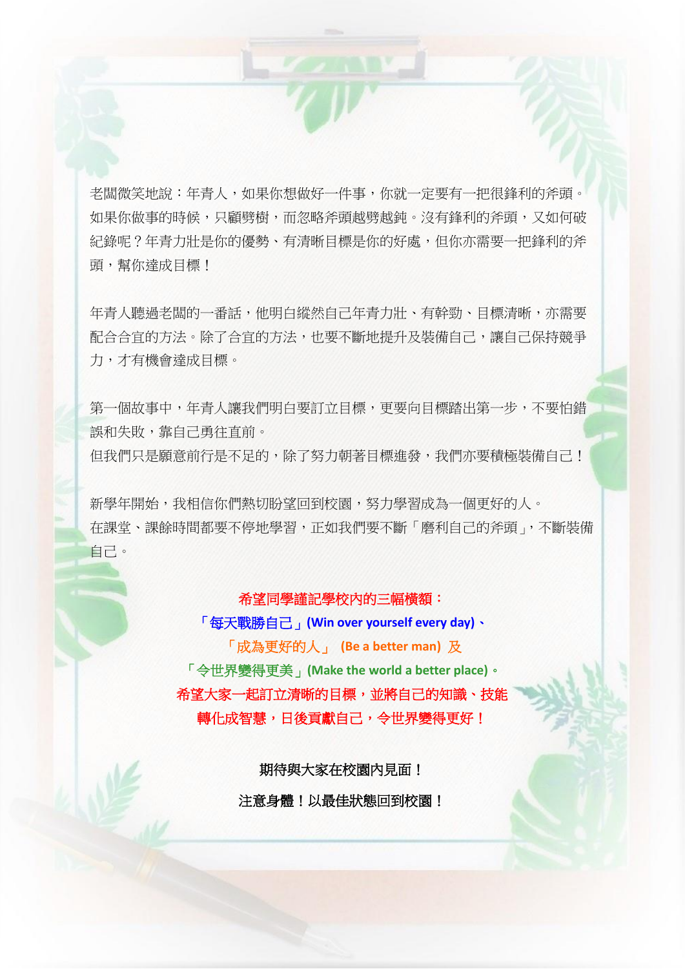老闆微笑地說:年青人,如果你想做好一件事,你就一定要有一把很鋒利的斧頭。 如果你做事的時候,只顧劈樹,而忽略斧頭越劈越鈍。沒有鋒利的斧頭,又如何破 紀錄呢?年青力壯是你的優勢、有清晰目標是你的好處,但你亦需要一把鋒利的斧 頭,幫你達成目標!

年青人聽過老闆的一番話,他明白縱然自己年青力壯、有幹勁、目標清晰,亦需要 配合合宜的方法。除了合宜的方法,也要不斷地提升及裝備自己,讓自己保持競爭 力,才有機會達成目標。

第一個故事中,年青人讓我們明白要訂立目標,更要向目標踏出第一步,不要怕錯 誤和失敗,靠自己勇往直前。 但我們只是願意前行是不足的,除了努力朝著目標進發,我們亦要積極裝備自己!

新學年開始,我相信你們熱切盼望回到校園,努力學習成為一個更好的人。 在課堂、課餘時間都要不停地學習,正如我們要不斷「磨利自己的斧頭」,不斷裝備 自己。

## 希望同學謹記學校內的三幅橫額:

「每天戰勝自己」**(Win over yourself every day)**、 「成為更好的人」 **(Be a better man)** 及 「令世界變得更美」**(Make the world a better place)**。 希望大家一起訂立清晰的目標,並將自己的知識、技能 轉化成智慧,日後貢獻自己,令世界變得更好!

> 期待與大家在校園內見面! 注意身體!以最佳狀態回到校園!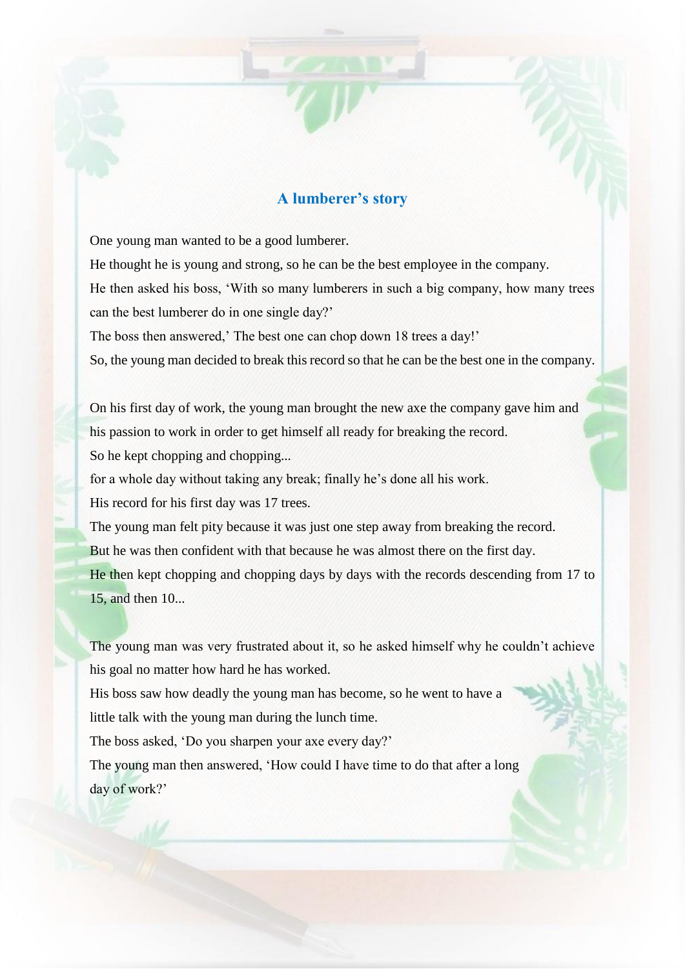## **A lumberer's story**

One young man wanted to be a good lumberer.

He thought he is young and strong, so he can be the best employee in the company. He then asked his boss, 'With so many lumberers in such a big company, how many trees

can the best lumberer do in one single day?'

The boss then answered,' The best one can chop down 18 trees a day!'

So, the young man decided to break this record so that he can be the best one in the company.

On his first day of work, the young man brought the new axe the company gave him and his passion to work in order to get himself all ready for breaking the record. So he kept chopping and chopping...

for a whole day without taking any break; finally he's done all his work.

His record for his first day was 17 trees.

The young man felt pity because it was just one step away from breaking the record. But he was then confident with that because he was almost there on the first day. He then kept chopping and chopping days by days with the records descending from 17 to 15, and then 10...

The young man was very frustrated about it, so he asked himself why he couldn't achieve his goal no matter how hard he has worked.

His boss saw how deadly the young man has become, so he went to have a little talk with the young man during the lunch time.

The boss asked, 'Do you sharpen your axe every day?'

The young man then answered, 'How could I have time to do that after a long day of work?'